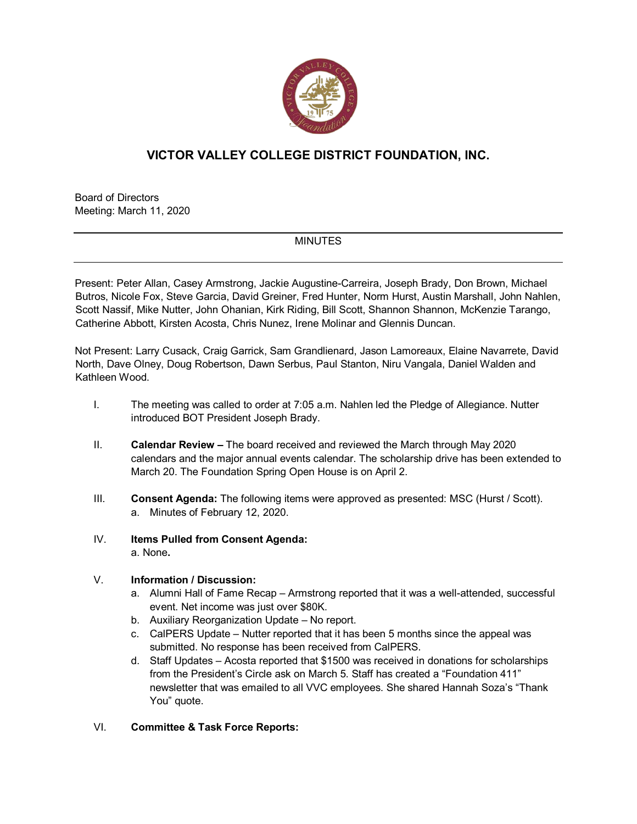

## **VICTOR VALLEY COLLEGE DISTRICT FOUNDATION, INC.**

Board of Directors Meeting: March 11, 2020

## **MINUTES**

Present: Peter Allan, Casey Armstrong, Jackie Augustine-Carreira, Joseph Brady, Don Brown, Michael Butros, Nicole Fox, Steve Garcia, David Greiner, Fred Hunter, Norm Hurst, Austin Marshall, John Nahlen, Scott Nassif, Mike Nutter, John Ohanian, Kirk Riding, Bill Scott, Shannon Shannon, McKenzie Tarango, Catherine Abbott, Kirsten Acosta, Chris Nunez, Irene Molinar and Glennis Duncan.

Not Present: Larry Cusack, Craig Garrick, Sam Grandlienard, Jason Lamoreaux, Elaine Navarrete, David North, Dave Olney, Doug Robertson, Dawn Serbus, Paul Stanton, Niru Vangala, Daniel Walden and Kathleen Wood.

- I. The meeting was called to order at 7:05 a.m. Nahlen led the Pledge of Allegiance. Nutter introduced BOT President Joseph Brady.
- II. **Calendar Review –** The board received and reviewed the March through May 2020 calendars and the major annual events calendar. The scholarship drive has been extended to March 20. The Foundation Spring Open House is on April 2.
- III. **Consent Agenda:** The following items were approved as presented: MSC (Hurst / Scott). a. Minutes of February 12, 2020.
- IV. **Items Pulled from Consent Agenda:**  a. None**.**
	-

## V. **Information / Discussion:**

- a. Alumni Hall of Fame Recap Armstrong reported that it was a well-attended, successful event. Net income was just over \$80K.
- b. Auxiliary Reorganization Update No report.
- c. CalPERS Update Nutter reported that it has been 5 months since the appeal was submitted. No response has been received from CalPERS.
- d. Staff Updates Acosta reported that \$1500 was received in donations for scholarships from the President's Circle ask on March 5. Staff has created a "Foundation 411" newsletter that was emailed to all VVC employees. She shared Hannah Soza's "Thank You" quote.
- VI. **Committee & Task Force Reports:**